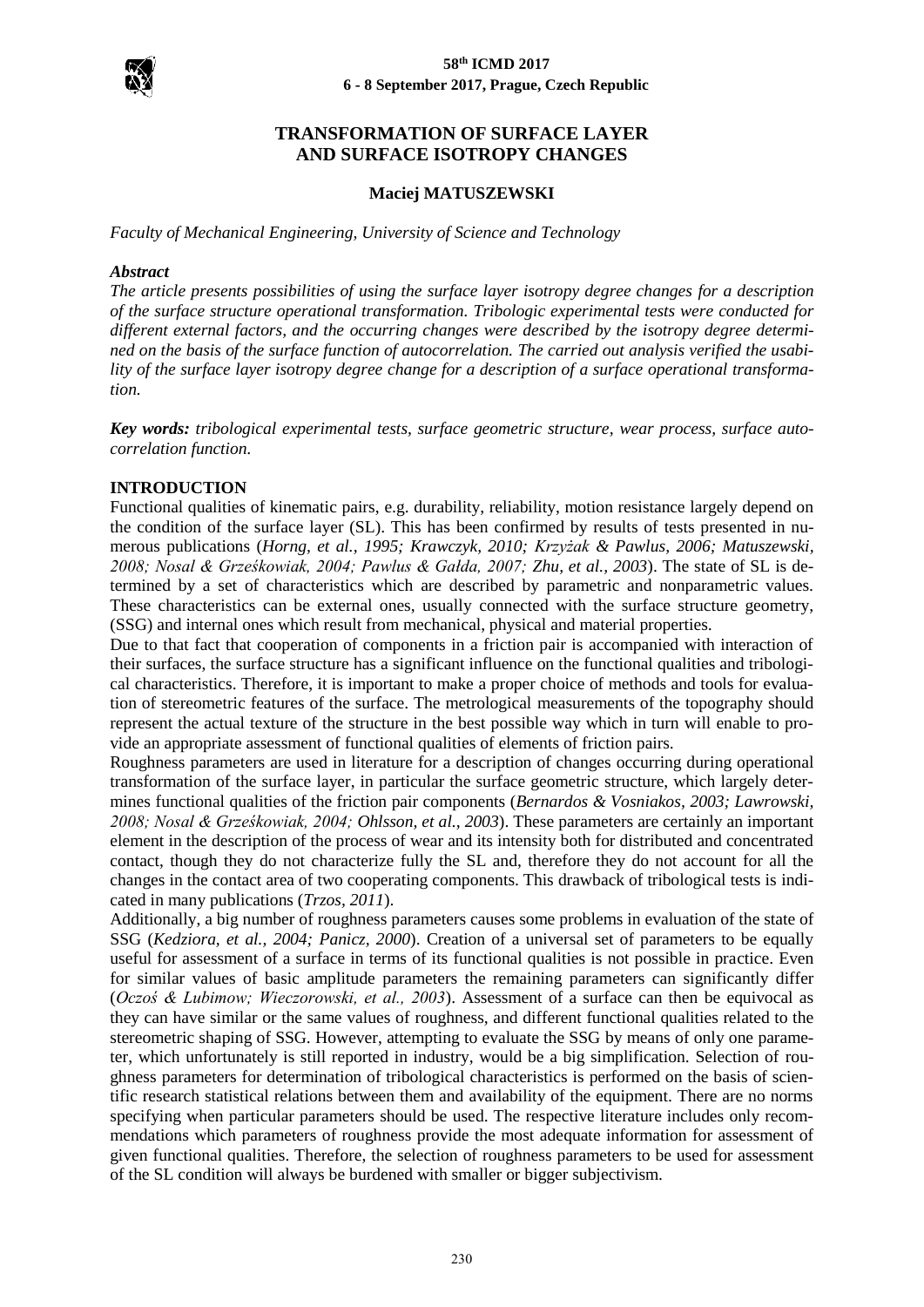

# **TRANSFORMATION OF SURFACE LAYER AND SURFACE ISOTROPY CHANGES**

### **Maciej MATUSZEWSKI**

*Faculty of Mechanical Engineering, University of Science and Technology*

#### *Abstract*

*The article presents possibilities of using the surface layer isotropy degree changes for a description of the surface structure operational transformation. Tribologic experimental tests were conducted for different external factors, and the occurring changes were described by the isotropy degree determined on the basis of the surface function of autocorrelation. The carried out analysis verified the usability of the surface layer isotropy degree change for a description of a surface operational transformation.*

*Key words: tribological experimental tests, surface geometric structure, wear process, surface autocorrelation function.*

### **INTRODUCTION**

Functional qualities of kinematic pairs, e.g. durability, reliability, motion resistance largely depend on the condition of the surface layer (SL). This has been confirmed by results of tests presented in numerous publications (*Horng, et al., 1995; Krawczyk, 2010; Krzyżak & Pawlus, 2006; Matuszewski, 2008; Nosal & Grześkowiak, 2004; Pawlus & Gałda, 2007; Zhu, et al., 2003*). The state of SL is determined by a set of characteristics which are described by parametric and nonparametric values. These characteristics can be external ones, usually connected with the surface structure geometry, (SSG) and internal ones which result from mechanical, physical and material properties.

Due to that fact that cooperation of components in a friction pair is accompanied with interaction of their surfaces, the surface structure has a significant influence on the functional qualities and tribological characteristics. Therefore, it is important to make a proper choice of methods and tools for evaluation of stereometric features of the surface. The metrological measurements of the topography should represent the actual texture of the structure in the best possible way which in turn will enable to provide an appropriate assessment of functional qualities of elements of friction pairs.

Roughness parameters are used in literature for a description of changes occurring during operational transformation of the surface layer, in particular the surface geometric structure, which largely determines functional qualities of the friction pair components (*Bernardos & Vosniakos, 2003; Lawrowski, 2008; Nosal & Grześkowiak, 2004; Ohlsson, et al., 2003*). These parameters are certainly an important element in the description of the process of wear and its intensity both for distributed and concentrated contact, though they do not characterize fully the SL and, therefore they do not account for all the changes in the contact area of two cooperating components. This drawback of tribological tests is indicated in many publications (*Trzos, 2011*).

Additionally, a big number of roughness parameters causes some problems in evaluation of the state of SSG (*Kedziora, et al., 2004; Panicz, 2000*). Creation of a universal set of parameters to be equally useful for assessment of a surface in terms of its functional qualities is not possible in practice. Even for similar values of basic amplitude parameters the remaining parameters can significantly differ (*Oczoś & Lubimow; Wieczorowski, et al., 2003*). Assessment of a surface can then be equivocal as they can have similar or the same values of roughness, and different functional qualities related to the stereometric shaping of SSG. However, attempting to evaluate the SSG by means of only one parameter, which unfortunately is still reported in industry, would be a big simplification. Selection of roughness parameters for determination of tribological characteristics is performed on the basis of scientific research statistical relations between them and availability of the equipment. There are no norms specifying when particular parameters should be used. The respective literature includes only recommendations which parameters of roughness provide the most adequate information for assessment of given functional qualities. Therefore, the selection of roughness parameters to be used for assessment of the SL condition will always be burdened with smaller or bigger subjectivism.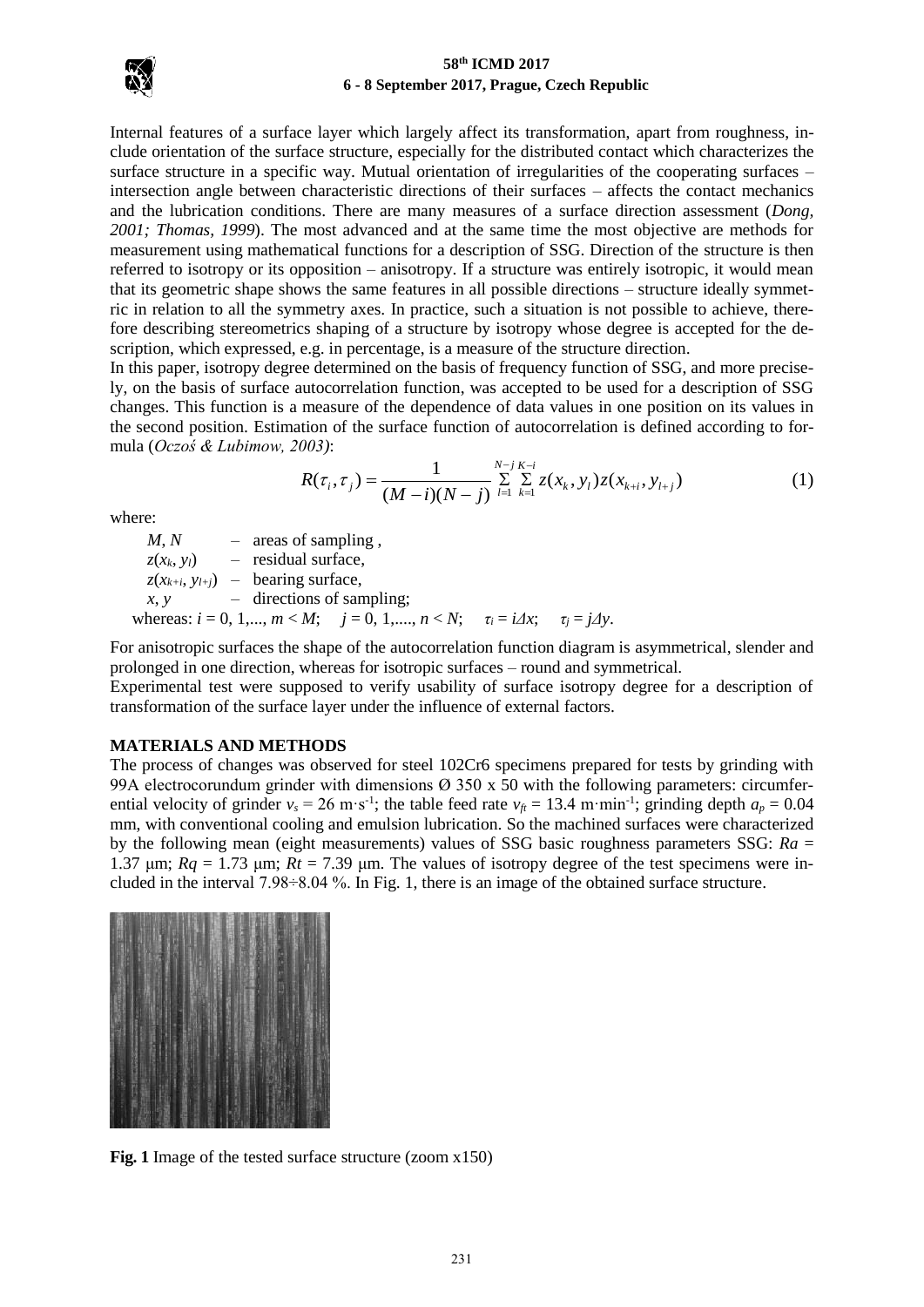

Internal features of a surface layer which largely affect its transformation, apart from roughness, include orientation of the surface structure, especially for the distributed contact which characterizes the surface structure in a specific way. Mutual orientation of irregularities of the cooperating surfaces – intersection angle between characteristic directions of their surfaces – affects the contact mechanics and the lubrication conditions. There are many measures of a surface direction assessment (*Dong, 2001; Thomas, 1999*). The most advanced and at the same time the most objective are methods for measurement using mathematical functions for a description of SSG. Direction of the structure is then referred to isotropy or its opposition – anisotropy. If a structure was entirely isotropic, it would mean that its geometric shape shows the same features in all possible directions – structure ideally symmetric in relation to all the symmetry axes. In practice, such a situation is not possible to achieve, therefore describing stereometrics shaping of a structure by isotropy whose degree is accepted for the description, which expressed, e.g. in percentage, is a measure of the structure direction.

In this paper, isotropy degree determined on the basis of frequency function of SSG, and more precisely, on the basis of surface autocorrelation function, was accepted to be used for a description of SSG changes. This function is a measure of the dependence of data values in one position on its values in the second position. Estimation of the surface function of autocorrelation is defined according to formula (*Oczoś & Lubimow, 2003)*:

$$
R(\tau_i, \tau_j) = \frac{1}{(M-i)(N-j)} \sum_{l=1}^{N-j} \sum_{k=1}^{K-i} z(x_k, y_l) z(x_{k+i}, y_{l+j})
$$
(1)

where:

 $M, N$  – areas of sampling,  $z(x_k, y_l)$  – residual surface,  $z(x_{k+i}, y_{l+j})$  – bearing surface, *x*, *y* – directions of sampling; whereas:  $i = 0, 1, \ldots, m < M; j = 0, 1, \ldots, n < N; \quad \tau_i = i \Delta x; \quad \tau_j = j \Delta y.$ 

For anisotropic surfaces the shape of the autocorrelation function diagram is asymmetrical, slender and prolonged in one direction, whereas for isotropic surfaces – round and symmetrical.

Experimental test were supposed to verify usability of surface isotropy degree for a description of transformation of the surface layer under the influence of external factors.

### **MATERIALS AND METHODS**

The process of changes was observed for steel 102Cr6 specimens prepared for tests by grinding with 99A electrocorundum grinder with dimensions  $\varnothing$  350 x 50 with the following parameters: circumferential velocity of grinder  $v_s = 26 \text{ m} \cdot \text{s}^{-1}$ ; the table feed rate  $v_{ft} = 13.4 \text{ m} \cdot \text{min}^{-1}$ ; grinding depth  $a_p = 0.04$ mm, with conventional cooling and emulsion lubrication. So the machined surfaces were characterized by the following mean (eight measurements) values of SSG basic roughness parameters SSG: *Ra* = 1.37 μm;  $Rq = 1.73$  μm;  $Rt = 7.39$  μm. The values of isotropy degree of the test specimens were included in the interval 7.98÷8.04 %. In Fig. 1, there is an image of the obtained surface structure.



**Fig. 1** Image of the tested surface structure (zoom x150)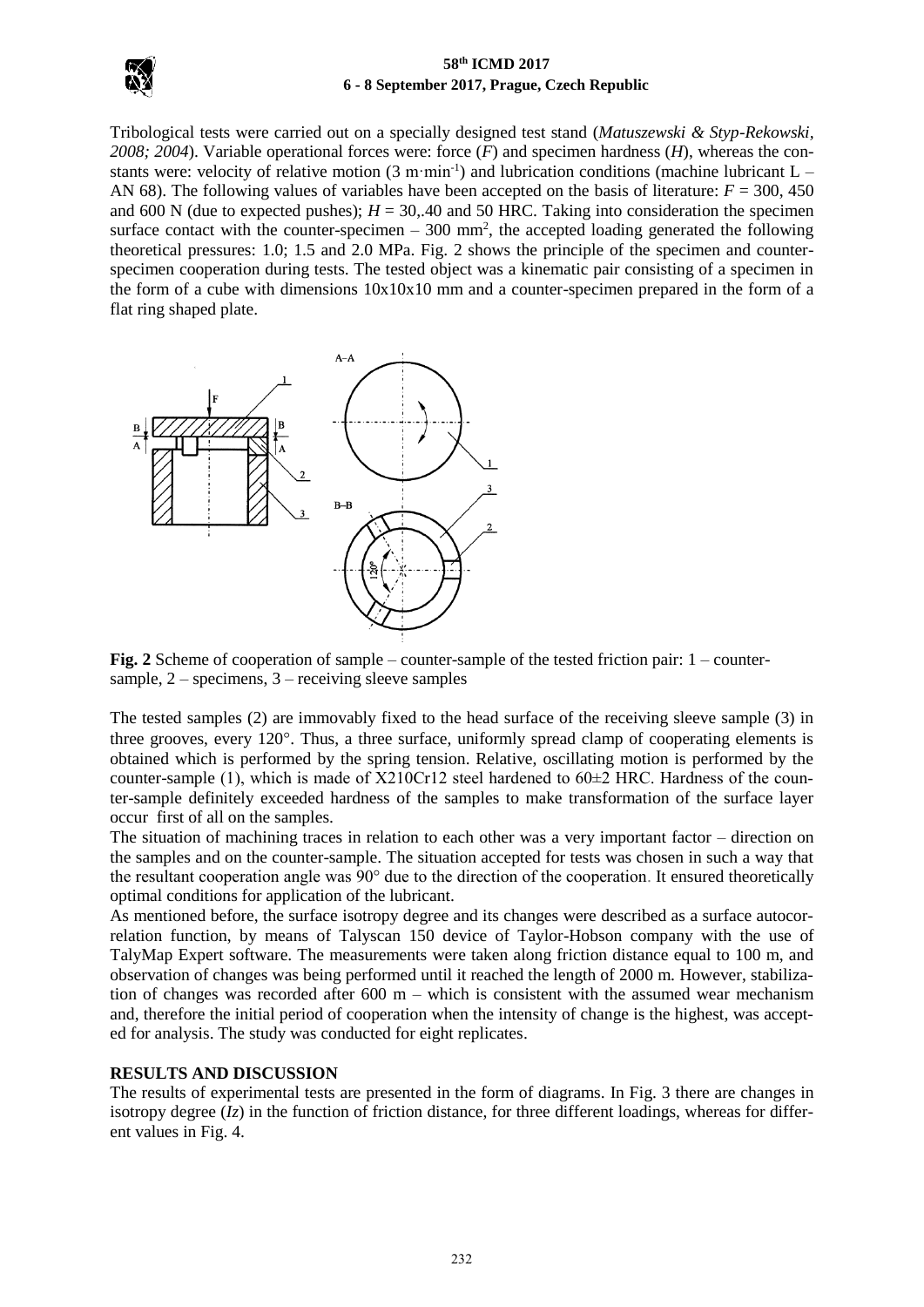

Tribological tests were carried out on a specially designed test stand (*Matuszewski & Styp-Rekowski, 2008; 2004*). Variable operational forces were: force (*F*) and specimen hardness (*H*), whereas the constants were: velocity of relative motion  $(3 \text{ m} \cdot \text{min}^{-1})$  and lubrication conditions (machine lubricant L – AN 68). The following values of variables have been accepted on the basis of literature:  $F = 300, 450$ and 600 N (due to expected pushes);  $H = 30,40$  and 50 HRC. Taking into consideration the specimen surface contact with the counter-specimen  $-300$  mm<sup>2</sup>, the accepted loading generated the following theoretical pressures: 1.0; 1.5 and 2.0 MPa. Fig. 2 shows the principle of the specimen and counterspecimen cooperation during tests. The tested object was a kinematic pair consisting of a specimen in the form of a cube with dimensions 10x10x10 mm and a counter-specimen prepared in the form of a flat ring shaped plate.



**Fig. 2** Scheme of cooperation of sample – counter-sample of the tested friction pair: 1 – countersample,  $2$  – specimens,  $3$  – receiving sleeve samples

The tested samples (2) are immovably fixed to the head surface of the receiving sleeve sample (3) in three grooves, every  $120^{\circ}$ . Thus, a three surface, uniformly spread clamp of cooperating elements is obtained which is performed by the spring tension. Relative, oscillating motion is performed by the counter-sample (1), which is made of  $X210Cr12$  steel hardened to  $60\pm2$  HRC. Hardness of the counter-sample definitely exceeded hardness of the samples to make transformation of the surface layer occur first of all on the samples.

The situation of machining traces in relation to each other was a very important factor – direction on the samples and on the counter-sample. The situation accepted for tests was chosen in such a way that the resultant cooperation angle was 90° due to the direction of the cooperation. It ensured theoretically optimal conditions for application of the lubricant.

As mentioned before, the surface isotropy degree and its changes were described as a surface autocorrelation function, by means of Talyscan 150 device of Taylor-Hobson company with the use of TalyMap Expert software. The measurements were taken along friction distance equal to 100 m, and observation of changes was being performed until it reached the length of 2000 m. However, stabilization of changes was recorded after 600 m – which is consistent with the assumed wear mechanism and, therefore the initial period of cooperation when the intensity of change is the highest, was accepted for analysis. The study was conducted for eight replicates.

## **RESULTS AND DISCUSSION**

The results of experimental tests are presented in the form of diagrams. In Fig. 3 there are changes in isotropy degree  $(Iz)$  in the function of friction distance, for three different loadings, whereas for different values in Fig. 4.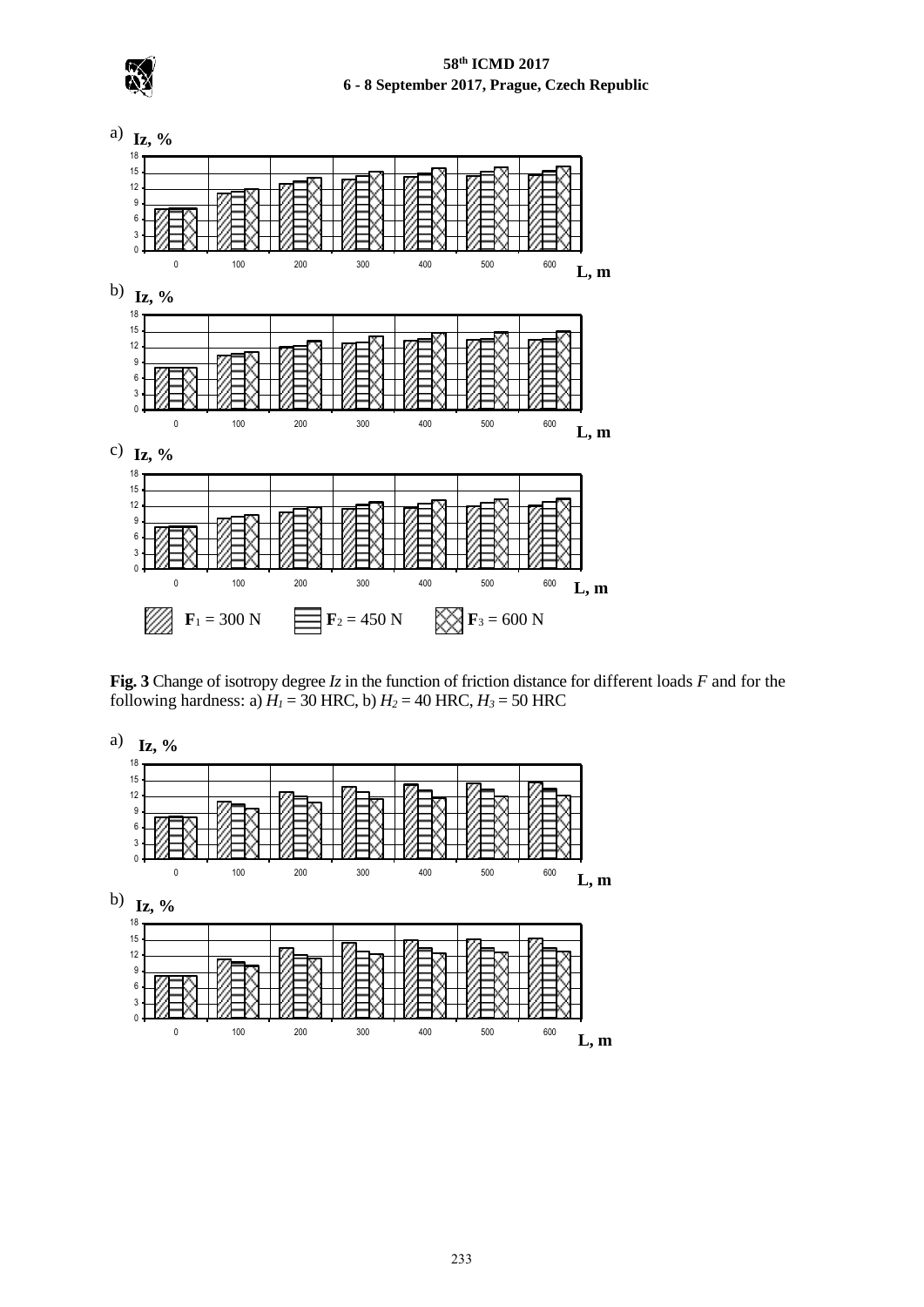

**Fig. 3** Change of isotropy degree *Iz* in the function of friction distance for different loads *F* and for the following hardness: a)  $H_1 = 30$  HRC, b)  $H_2 = 40$  HRC,  $H_3 = 50$  HRC

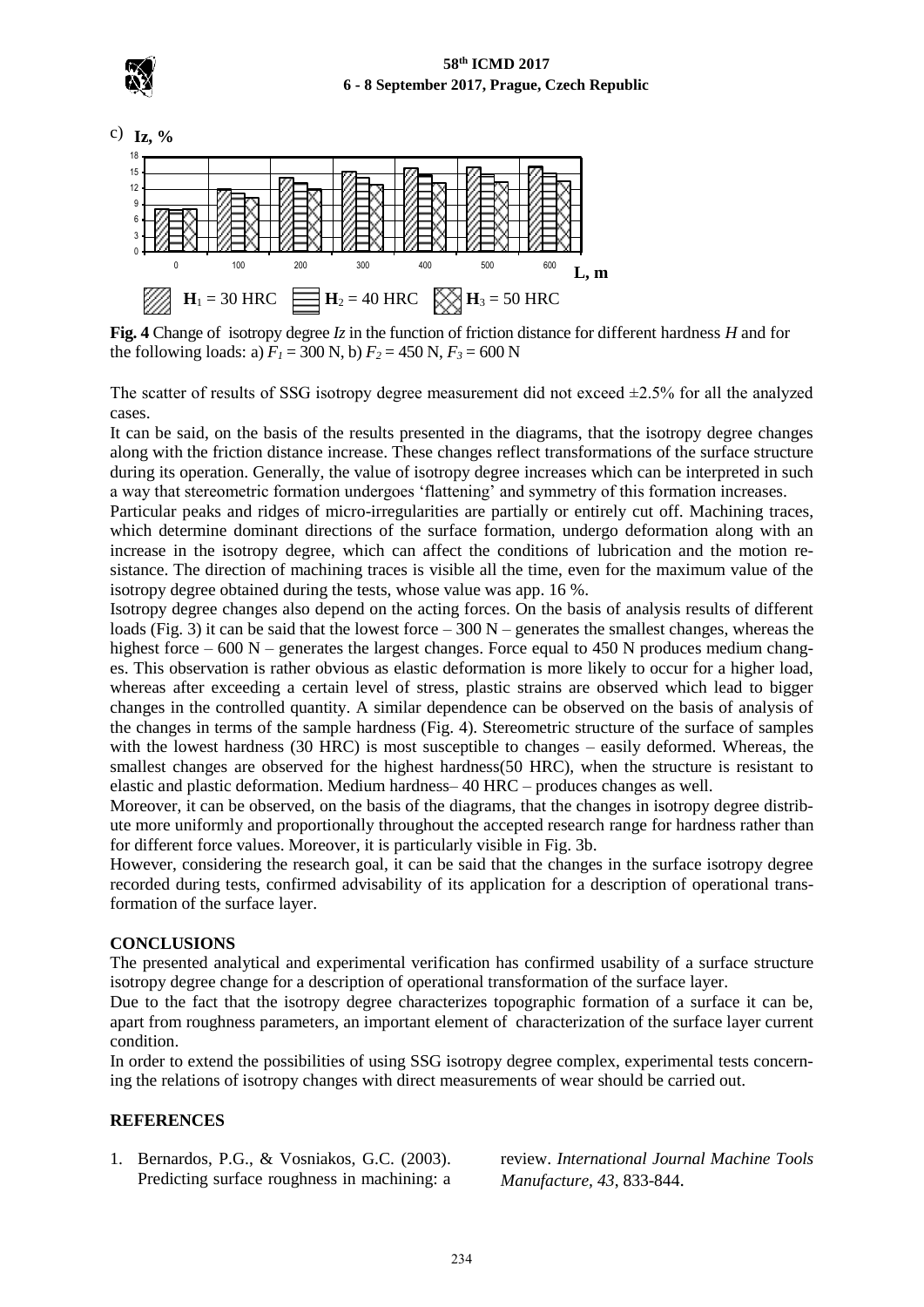

c) **Iz, %**



**Fig. 4** Change of isotropy degree *Iz* in the function of friction distance for different hardness *H* and for the following loads: a)  $F_1 = 300$  N, b)  $F_2 = 450$  N,  $F_3 = 600$  N

The scatter of results of SSG isotropy degree measurement did not exceed  $\pm$ 2.5% for all the analyzed cases.

It can be said, on the basis of the results presented in the diagrams, that the isotropy degree changes along with the friction distance increase. These changes reflect transformations of the surface structure during its operation. Generally, the value of isotropy degree increases which can be interpreted in such a way that stereometric formation undergoes 'flattening' and symmetry of this formation increases.

Particular peaks and ridges of micro-irregularities are partially or entirely cut off. Machining traces, which determine dominant directions of the surface formation, undergo deformation along with an increase in the isotropy degree, which can affect the conditions of lubrication and the motion resistance. The direction of machining traces is visible all the time, even for the maximum value of the isotropy degree obtained during the tests, whose value was app. 16 %.

Isotropy degree changes also depend on the acting forces. On the basis of analysis results of different loads (Fig. 3) it can be said that the lowest force – 300 N – generates the smallest changes, whereas the highest force  $-600 \text{ N}$  – generates the largest changes. Force equal to 450 N produces medium changes. This observation is rather obvious as elastic deformation is more likely to occur for a higher load, whereas after exceeding a certain level of stress, plastic strains are observed which lead to bigger changes in the controlled quantity. A similar dependence can be observed on the basis of analysis of the changes in terms of the sample hardness (Fig. 4). Stereometric structure of the surface of samples with the lowest hardness (30 HRC) is most susceptible to changes – easily deformed. Whereas, the smallest changes are observed for the highest hardness(50 HRC), when the structure is resistant to elastic and plastic deformation. Medium hardness– 40 HRC – produces changes as well.

Moreover, it can be observed, on the basis of the diagrams, that the changes in isotropy degree distribute more uniformly and proportionally throughout the accepted research range for hardness rather than for different force values. Moreover, it is particularly visible in Fig. 3b.

However, considering the research goal, it can be said that the changes in the surface isotropy degree recorded during tests, confirmed advisability of its application for a description of operational transformation of the surface layer.

### **CONCLUSIONS**

The presented analytical and experimental verification has confirmed usability of a surface structure isotropy degree change for a description of operational transformation of the surface layer.

Due to the fact that the isotropy degree characterizes topographic formation of a surface it can be, apart from roughness parameters, an important element of characterization of the surface layer current condition.

In order to extend the possibilities of using SSG isotropy degree complex, experimental tests concerning the relations of isotropy changes with direct measurements of wear should be carried out.

#### **REFERENCES**

1. Bernardos, P.G., & Vosniakos, G.C. (2003). Predicting surface roughness in machining: a review. *International Journal Machine Tools Manufacture, 43*, 833-844.